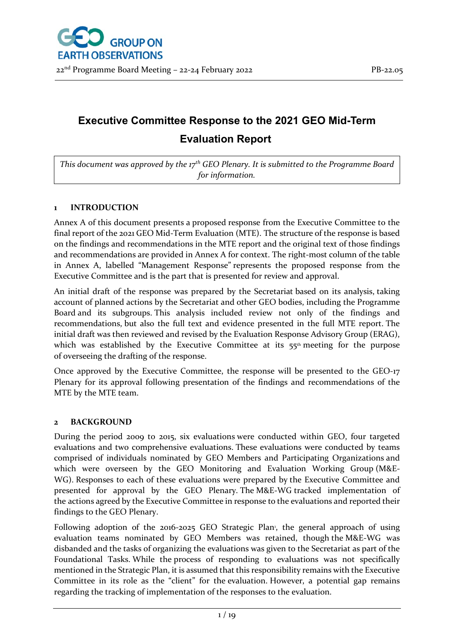# **Executive Committee Response to the 2021 GEO Mid-Term Evaluation Report**

*This document was approved by the 17th GEO Plenary. It is submitted to the Programme Board for information.*

### **1 INTRODUCTION**

Annex A of this document presents a proposed response from the Executive Committee to the final report of the 2021 GEO Mid-Term Evaluation (MTE). The structure of the response is based on the findings and recommendations in the MTE report and the original text of those findings and recommendations are provided in Annex A for context. The right-most column of the table in Annex A, labelled "Management Response" represents the proposed response from the Executive Committee and is the part that is presented for review and approval.

An initial draft of the response was prepared by the Secretariat based on its analysis, taking account of planned actions by the Secretariat and other GEO bodies, including the Programme Board and its subgroups. This analysis included review not only of the findings and recommendations, but also the full text and evidence presented in the full MTE report. The initial draft was then reviewed and revised by the Evaluation Response Advisory Group (ERAG), which was established by the Executive Committee at its 55<sup>th</sup> meeting for the purpose of overseeing the drafting of the response.

Once approved by the Executive Committee, the response will be presented to the GEO-17 Plenary for its approval following presentation of the findings and recommendations of the MTE by the MTE team.

### **2 BACKGROUND**

During the period 2009 to 2015, six evaluations were conducted within GEO, four targeted evaluations and two comprehensive evaluations. These evaluations were conducted by teams comprised of individuals nominated by GEO Members and Participating Organizations and which were overseen by the GEO Monitoring and Evaluation Working Group (M&E-WG). Responses to each of these evaluations were prepared by the Executive Committee and presented for approval by the GEO Plenary. The M&E-WG tracked implementation of the actions agreed by the Executive Committee in response to the evaluations and reported their findings to the GEO Plenary.

Following adoption of the 2016-2025 GEO Strategic Plan, the general approach of using evaluation teams nominated by GEO Members was retained, though the M&E-WG was disbanded and the tasks of organizing the evaluations was given to the Secretariat as part of the Foundational Tasks. While the process of responding to evaluations was not specifically mentioned in the Strategic Plan, it is assumed that this responsibility remains with the Executive Committee in its role as the "client" for the evaluation. However, a potential gap remains regarding the tracking of implementation of the responses to the evaluation.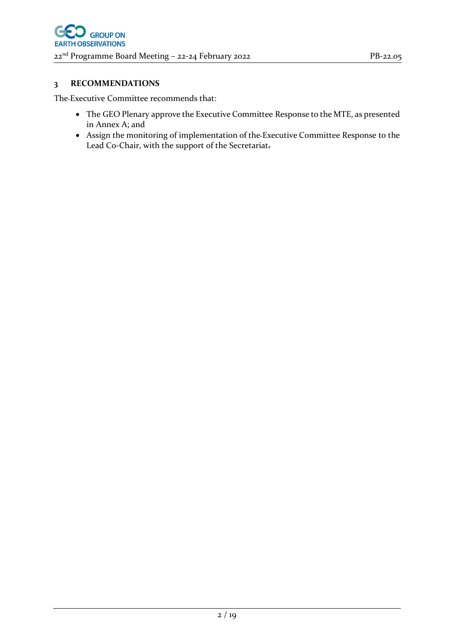### **3 RECOMMENDATIONS**

The Executive Committee recommends that:

- The GEO Plenary approve the Executive Committee Response to the MTE, as presented in Annex A; and
- Assign the monitoring of implementation of the Executive Committee Response to the Lead Co-Chair, with the support of the Secretariat.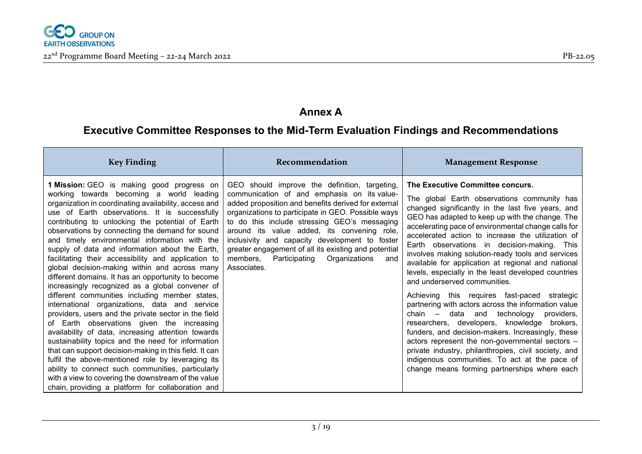

# **Annex A**

# **Executive Committee Responses to the Mid-Term Evaluation Findings and Recommendations**

| <b>Key Finding</b>                                                                                                                                                                                                                                                                                                                                                                                                                                                                                                                                                                                                                                                                                                                                                                                                                                                                                                                                                                                                                                                                                                                                                                                                                      | Recommendation                                                                                                                                                                                                                                                                                                                                                                                                                                                                      | <b>Management Response</b>                                                                                                                                                                                                                                                                                                                                                                                                                                                                                                                                                                                                                                                                                                                                                                                                                                                                                                                                                                                               |
|-----------------------------------------------------------------------------------------------------------------------------------------------------------------------------------------------------------------------------------------------------------------------------------------------------------------------------------------------------------------------------------------------------------------------------------------------------------------------------------------------------------------------------------------------------------------------------------------------------------------------------------------------------------------------------------------------------------------------------------------------------------------------------------------------------------------------------------------------------------------------------------------------------------------------------------------------------------------------------------------------------------------------------------------------------------------------------------------------------------------------------------------------------------------------------------------------------------------------------------------|-------------------------------------------------------------------------------------------------------------------------------------------------------------------------------------------------------------------------------------------------------------------------------------------------------------------------------------------------------------------------------------------------------------------------------------------------------------------------------------|--------------------------------------------------------------------------------------------------------------------------------------------------------------------------------------------------------------------------------------------------------------------------------------------------------------------------------------------------------------------------------------------------------------------------------------------------------------------------------------------------------------------------------------------------------------------------------------------------------------------------------------------------------------------------------------------------------------------------------------------------------------------------------------------------------------------------------------------------------------------------------------------------------------------------------------------------------------------------------------------------------------------------|
| <b>1 Mission:</b> GEO is making good progress on<br>working towards becoming a world leading<br>organization in coordinating availability, access and<br>use of Earth observations. It is successfully<br>contributing to unlocking the potential of Earth<br>observations by connecting the demand for sound<br>and timely environmental information with the<br>supply of data and information about the Earth,<br>facilitating their accessibility and application to<br>global decision-making within and across many<br>different domains. It has an opportunity to become<br>increasingly recognized as a global convener of<br>different communities including member states,<br>international organizations, data and service<br>providers, users and the private sector in the field<br>of Earth observations given the increasing<br>availability of data, increasing attention towards<br>sustainability topics and the need for information<br>that can support decision-making in this field. It can<br>fulfil the above-mentioned role by leveraging its<br>ability to connect such communities, particularly<br>with a view to covering the downstream of the value<br>chain, providing a platform for collaboration and | GEO should improve the definition, targeting,<br>communication of and emphasis on its value-<br>added proposition and benefits derived for external<br>organizations to participate in GEO. Possible ways<br>to do this include stressing GEO's messaging<br>around its value added, its convening role,<br>inclusivity and capacity development to foster<br>greater engagement of all its existing and potential<br>Participating Organizations<br>members,<br>and<br>Associates. | The Executive Committee concurs.<br>The global Earth observations community has<br>changed significantly in the last five years, and<br>GEO has adapted to keep up with the change. The<br>accelerating pace of environmental change calls for<br>accelerated action to increase the utilization of<br>Earth observations in decision-making. This<br>involves making solution-ready tools and services<br>available for application at regional and national<br>levels, especially in the least developed countries<br>and underserved communities.<br>Achieving this requires fast-paced strategic<br>partnering with actors across the information value<br>chain – data and technology<br>providers,<br>researchers, developers, knowledge brokers,<br>funders, and decision-makers. Increasingly, these<br>actors represent the non-governmental sectors -<br>private industry, philanthropies, civil society, and<br>indigenous communities. To act at the pace of<br>change means forming partnerships where each |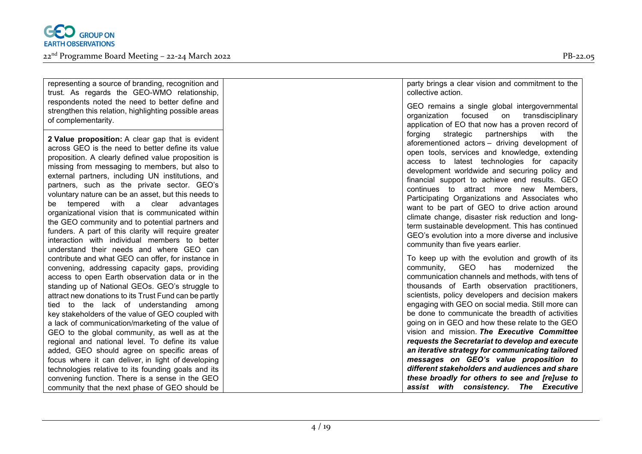

| representing a source of branding, recognition and<br>trust. As regards the GEO-WMO relationship,<br>respondents noted the need to better define and                                                                                                                                                                                                                                                                                                                                                                                                                                                                                                                                         | party brings a clear vision and commitment to the<br>collective action.<br>GEO remains a single global intergovernmental                                                                                                                                                                                                                                                                                                                                                                                                                                                                                                                                                 |
|----------------------------------------------------------------------------------------------------------------------------------------------------------------------------------------------------------------------------------------------------------------------------------------------------------------------------------------------------------------------------------------------------------------------------------------------------------------------------------------------------------------------------------------------------------------------------------------------------------------------------------------------------------------------------------------------|--------------------------------------------------------------------------------------------------------------------------------------------------------------------------------------------------------------------------------------------------------------------------------------------------------------------------------------------------------------------------------------------------------------------------------------------------------------------------------------------------------------------------------------------------------------------------------------------------------------------------------------------------------------------------|
| strengthen this relation, highlighting possible areas<br>of complementarity.                                                                                                                                                                                                                                                                                                                                                                                                                                                                                                                                                                                                                 | focused on<br>organization<br>transdisciplinary<br>application of EO that now has a proven record of                                                                                                                                                                                                                                                                                                                                                                                                                                                                                                                                                                     |
| 2 Value proposition: A clear gap that is evident<br>across GEO is the need to better define its value<br>proposition. A clearly defined value proposition is<br>missing from messaging to members, but also to<br>external partners, including UN institutions, and<br>partners, such as the private sector. GEO's<br>voluntary nature can be an asset, but this needs to<br>with<br>clear<br>advantages<br>tempered<br>a<br>be<br>organizational vision that is communicated within<br>the GEO community and to potential partners and<br>funders. A part of this clarity will require greater<br>interaction with individual members to better<br>understand their needs and where GEO can | partnerships<br>forging<br>strategic<br>with<br>the<br>aforementioned actors - driving development of<br>open tools, services and knowledge, extending<br>access to latest technologies for capacity<br>development worldwide and securing policy and<br>financial support to achieve end results. GEO<br>continues to attract more new Members,<br>Participating Organizations and Associates who<br>want to be part of GEO to drive action around<br>climate change, disaster risk reduction and long-<br>term sustainable development. This has continued<br>GEO's evolution into a more diverse and inclusive<br>community than five years earlier.                  |
| contribute and what GEO can offer, for instance in<br>convening, addressing capacity gaps, providing<br>access to open Earth observation data or in the<br>standing up of National GEOs. GEO's struggle to<br>attract new donations to its Trust Fund can be partly<br>tied to the lack of understanding among<br>key stakeholders of the value of GEO coupled with<br>a lack of communication/marketing of the value of<br>GEO to the global community, as well as at the<br>regional and national level. To define its value<br>added, GEO should agree on specific areas of<br>focus where it can deliver, in light of developing                                                         | To keep up with the evolution and growth of its<br>GEO<br>has<br>modernized<br>community,<br>the<br>communication channels and methods, with tens of<br>thousands of Earth observation practitioners,<br>scientists, policy developers and decision makers<br>engaging with GEO on social media. Still more can<br>be done to communicate the breadth of activities<br>going on in GEO and how these relate to the GEO<br>vision and mission. The Executive Committee<br>requests the Secretariat to develop and execute<br>an iterative strategy for communicating tailored<br>messages on GEO's value proposition to<br>different stakeholders and audiences and share |
| technologies relative to its founding goals and its<br>convening function. There is a sense in the GEO<br>community that the next phase of GEO should be                                                                                                                                                                                                                                                                                                                                                                                                                                                                                                                                     | these broadly for others to see and [re]use to<br>assist with consistency. The Executive                                                                                                                                                                                                                                                                                                                                                                                                                                                                                                                                                                                 |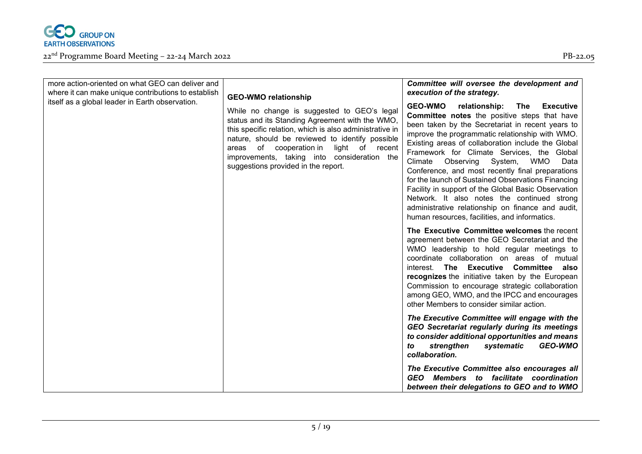

| more action-oriented on what GEO can deliver and<br>where it can make unique contributions to establish<br>itself as a global leader in Earth observation. | <b>GEO-WMO relationship</b><br>While no change is suggested to GEO's legal<br>status and its Standing Agreement with the WMO,<br>this specific relation, which is also administrative in<br>nature, should be reviewed to identify possible<br>of cooperation in<br>light of recent<br>areas<br>improvements, taking into consideration the<br>suggestions provided in the report. | Committee will oversee the development and<br>execution of the strategy.<br><b>GEO-WMO</b><br>relationship:<br><b>Executive</b><br>The<br><b>Committee notes</b> the positive steps that have<br>been taken by the Secretariat in recent years to<br>improve the programmatic relationship with WMO.<br>Existing areas of collaboration include the Global                                                                            |
|------------------------------------------------------------------------------------------------------------------------------------------------------------|------------------------------------------------------------------------------------------------------------------------------------------------------------------------------------------------------------------------------------------------------------------------------------------------------------------------------------------------------------------------------------|---------------------------------------------------------------------------------------------------------------------------------------------------------------------------------------------------------------------------------------------------------------------------------------------------------------------------------------------------------------------------------------------------------------------------------------|
|                                                                                                                                                            |                                                                                                                                                                                                                                                                                                                                                                                    | Framework for Climate Services, the Global<br>Climate<br>Observing<br>System,<br><b>WMO</b><br>Data<br>Conference, and most recently final preparations<br>for the launch of Sustained Observations Financing<br>Facility in support of the Global Basic Observation<br>Network. It also notes the continued strong<br>administrative relationship on finance and audit,<br>human resources, facilities, and informatics.             |
|                                                                                                                                                            |                                                                                                                                                                                                                                                                                                                                                                                    | The Executive Committee welcomes the recent<br>agreement between the GEO Secretariat and the<br>WMO leadership to hold regular meetings to<br>coordinate collaboration on areas of mutual<br>interest. The Executive Committee also<br>recognizes the initiative taken by the European<br>Commission to encourage strategic collaboration<br>among GEO, WMO, and the IPCC and encourages<br>other Members to consider similar action. |
|                                                                                                                                                            |                                                                                                                                                                                                                                                                                                                                                                                    | The Executive Committee will engage with the<br><b>GEO Secretariat regularly during its meetings</b><br>to consider additional opportunities and means<br>strengthen<br><b>GEO-WMO</b><br>systematic<br>to<br>collaboration.                                                                                                                                                                                                          |
|                                                                                                                                                            |                                                                                                                                                                                                                                                                                                                                                                                    | The Executive Committee also encourages all<br>GEO Members to facilitate coordination<br>between their delegations to GEO and to WMO                                                                                                                                                                                                                                                                                                  |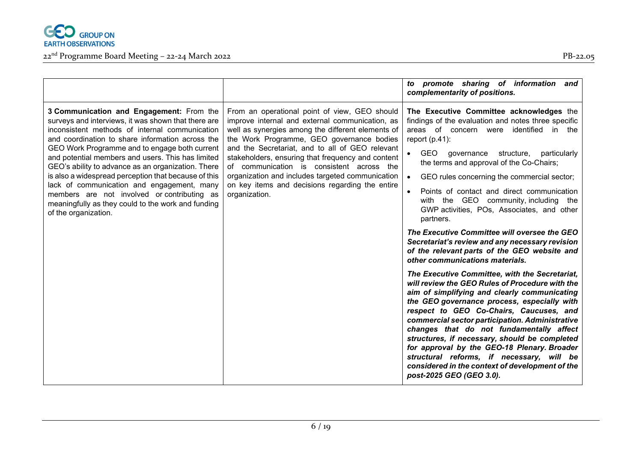

|                                                                                                                                                                                                                                                                                                                                                                                                                                                                                                                                                                                                      |                                                                                                                                                                                                                                                                                                                                                                                                                                                                                 | to promote sharing of information<br>and<br>complementarity of positions.                                                                                                                                                                                                                                                                                                                                                                                                                                                                                                                                                                                                                                                                                                                                                                                                                                                                                                                                                                                                                                                                                                                                                                                        |
|------------------------------------------------------------------------------------------------------------------------------------------------------------------------------------------------------------------------------------------------------------------------------------------------------------------------------------------------------------------------------------------------------------------------------------------------------------------------------------------------------------------------------------------------------------------------------------------------------|---------------------------------------------------------------------------------------------------------------------------------------------------------------------------------------------------------------------------------------------------------------------------------------------------------------------------------------------------------------------------------------------------------------------------------------------------------------------------------|------------------------------------------------------------------------------------------------------------------------------------------------------------------------------------------------------------------------------------------------------------------------------------------------------------------------------------------------------------------------------------------------------------------------------------------------------------------------------------------------------------------------------------------------------------------------------------------------------------------------------------------------------------------------------------------------------------------------------------------------------------------------------------------------------------------------------------------------------------------------------------------------------------------------------------------------------------------------------------------------------------------------------------------------------------------------------------------------------------------------------------------------------------------------------------------------------------------------------------------------------------------|
| 3 Communication and Engagement: From the<br>surveys and interviews, it was shown that there are<br>inconsistent methods of internal communication<br>and coordination to share information across the<br>GEO Work Programme and to engage both current<br>and potential members and users. This has limited<br>GEO's ability to advance as an organization. There<br>is also a widespread perception that because of this<br>lack of communication and engagement, many<br>members are not involved or contributing as<br>meaningfully as they could to the work and funding<br>of the organization. | From an operational point of view, GEO should<br>improve internal and external communication, as<br>well as synergies among the different elements of<br>the Work Programme, GEO governance bodies<br>and the Secretariat, and to all of GEO relevant<br>stakeholders, ensuring that frequency and content<br>of communication is consistent across the<br>organization and includes targeted communication<br>on key items and decisions regarding the entire<br>organization. | The Executive Committee acknowledges the<br>findings of the evaluation and notes three specific<br>areas of concern were identified in the<br>report $(p.41)$ :<br>GEO governance structure,<br>particularly<br>$\bullet$<br>the terms and approval of the Co-Chairs;<br>GEO rules concerning the commercial sector;<br>$\bullet$<br>Points of contact and direct communication<br>$\bullet$<br>with the GEO community, including the<br>GWP activities, POs, Associates, and other<br>partners.<br>The Executive Committee will oversee the GEO<br>Secretariat's review and any necessary revision<br>of the relevant parts of the GEO website and<br>other communications materials.<br>The Executive Committee, with the Secretariat,<br>will review the GEO Rules of Procedure with the<br>aim of simplifying and clearly communicating<br>the GEO governance process, especially with<br>respect to GEO Co-Chairs, Caucuses, and<br>commercial sector participation. Administrative<br>changes that do not fundamentally affect<br>structures, if necessary, should be completed<br>for approval by the GEO-18 Plenary. Broader<br>structural reforms, if necessary, will be<br>considered in the context of development of the<br>post-2025 GEO (GEO 3.0). |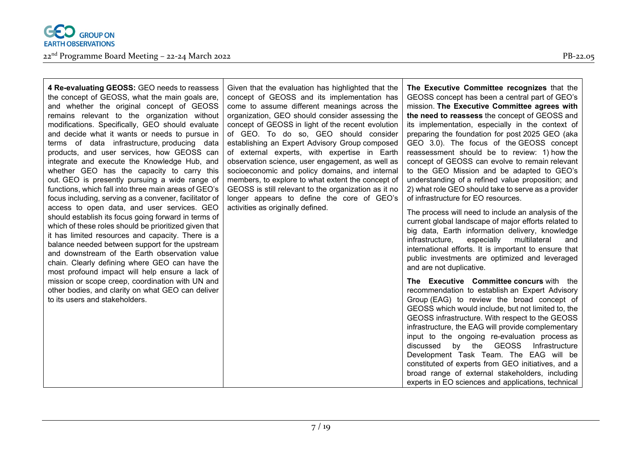

| 4 Re-evaluating GEOSS: GEO needs to reassess           | G              |
|--------------------------------------------------------|----------------|
| the concept of GEOSS, what the main goals are,         | C <sub>C</sub> |
| and whether the original concept of GEOSS              | C <sub>C</sub> |
| remains relevant to the organization without           | or             |
| modifications. Specifically, GEO should evaluate       | <b>CC</b>      |
| and decide what it wants or needs to pursue in         | of             |
| terms of data infrastructure, producing data           | es             |
| products, and user services, how GEOSS can             | of             |
| integrate and execute the Knowledge Hub, and           | oł             |
| whether GEO has the capacity to carry this             | S <sub>C</sub> |
| out. GEO is presently pursuing a wide range of         | m              |
| functions, which fall into three main areas of GEO's   | G              |
| focus including, serving as a convener, facilitator of | lo             |
| access to open data, and user services. GEO            | a              |
| should establish its focus going forward in terms of   |                |
| which of these roles should be prioritized given that  |                |
| it has limited resources and capacity. There is a      |                |
| balance needed between support for the upstream        |                |
| and downstream of the Earth observation value          |                |
| chain. Clearly defining where GEO can have the         |                |
| most profound impact will help ensure a lack of        |                |
| mission or scope creep, coordination with UN and       |                |
| other bodies, and clarity on what GEO can deliver      |                |
| to its users and stakeholders.                         |                |

iven that the evaluation has highlighted that the oncept of GEOSS and its implementation has ome to assume different meanings across the rganization, GEO should consider assessing the oncept of GEOSS in light of the recent evolution GEO. To do so, GEO should consider stablishing an Expert Advisory Group composed external experts, with expertise in Earth bservation science, user engagement, as well as socioeconomic and policy domains, and internal embers, to explore to what extent the concept of EOSS is still relevant to the organization as it no nger appears to define the core of GEO's ctivities as originally defined.

**The Executive Committee recognizes** that the GEOSS concept has been a central part of GEO's mission. **The Executive Committee agrees with the need to reassess** the concept of GEOSS and its implementation, especially in the context of preparing the foundation for post 2025 GEO (aka GEO 3.0). The focus of the GEOSS concept reassessment should be to review: 1) how the concept of GEOSS can evolve to remain relevant to the GEO Mission and be adapted to GEO's understanding of a refined value proposition; and 2) what role GEO should take to serve as a provider of infrastructure for EO resources.

The process will need to include an analysis of the current global landscape of major efforts related to big data, Earth information delivery, knowledge infrastructure, especially multilateral and international efforts. It is important to ensure that public investments are optimized and leveraged and are not duplicative.

**The Executive Committee concurs** with the recommendation to establish an Expert Advisory Group (EAG) to review the broad concept of GEOSS which would include, but not limited to, the GEOSS infrastructure. With respect to the GEOSS infrastructure, the EAG will provide complementary input to the ongoing re-evaluation process as discussed by the GEOSS Infrastructure Development Task Team. The EAG will be constituted of experts from GEO initiatives, and a broad range of external stakeholders, including experts in EO sciences and applications, technical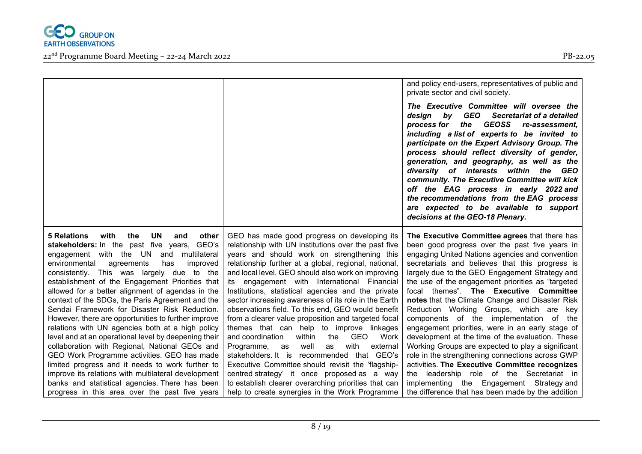

|                                                                                                                                                                                                                                                                                                                                                                                                                                                                                                                                                                                                                                                                                                                                     |                                                                                                                                                                                                                                                                                                                                                                                                                                                                                                                                                                                                                                                                                                                                                 | and policy end-users, representatives of public and<br>private sector and civil society.                                                                                                                                                                                                                                                                                                                                                                                                                                                                                                                                                                                                                         |
|-------------------------------------------------------------------------------------------------------------------------------------------------------------------------------------------------------------------------------------------------------------------------------------------------------------------------------------------------------------------------------------------------------------------------------------------------------------------------------------------------------------------------------------------------------------------------------------------------------------------------------------------------------------------------------------------------------------------------------------|-------------------------------------------------------------------------------------------------------------------------------------------------------------------------------------------------------------------------------------------------------------------------------------------------------------------------------------------------------------------------------------------------------------------------------------------------------------------------------------------------------------------------------------------------------------------------------------------------------------------------------------------------------------------------------------------------------------------------------------------------|------------------------------------------------------------------------------------------------------------------------------------------------------------------------------------------------------------------------------------------------------------------------------------------------------------------------------------------------------------------------------------------------------------------------------------------------------------------------------------------------------------------------------------------------------------------------------------------------------------------------------------------------------------------------------------------------------------------|
|                                                                                                                                                                                                                                                                                                                                                                                                                                                                                                                                                                                                                                                                                                                                     |                                                                                                                                                                                                                                                                                                                                                                                                                                                                                                                                                                                                                                                                                                                                                 | The Executive Committee will oversee the<br>by GEO Secretariat of a detailed<br>design<br>GEOSS re-assessment,<br>process for<br>the<br>including a list of experts to be invited to<br>participate on the Expert Advisory Group. The<br>process should reflect diversity of gender,<br>generation, and geography, as well as the<br>diversity of interests within the GEO<br>community. The Executive Committee will kick<br>off the EAG process in early 2022 and<br>the recommendations from the EAG process<br>are expected to be available to support<br>decisions at the GEO-18 Plenary.                                                                                                                   |
| with<br>the<br><b>UN</b><br>5 Relations<br>and<br>other<br>stakeholders: In the past five years, GEO's<br>engagement with the UN and<br>multilateral<br>environmental<br>has<br>improved<br>agreements<br>consistently. This was largely due to the<br>establishment of the Engagement Priorities that<br>allowed for a better alignment of agendas in the<br>context of the SDGs, the Paris Agreement and the<br>Sendai Framework for Disaster Risk Reduction.<br>However, there are opportunities to further improve<br>relations with UN agencies both at a high policy<br>level and at an operational level by deepening their<br>collaboration with Regional, National GEOs and<br>GEO Work Programme activities. GEO has made | GEO has made good progress on developing its<br>relationship with UN institutions over the past five<br>years and should work on strengthening this<br>relationship further at a global, regional, national,<br>and local level. GEO should also work on improving<br>its engagement with International Financial<br>Institutions, statistical agencies and the private<br>sector increasing awareness of its role in the Earth<br>observations field. To this end, GEO would benefit<br>from a clearer value proposition and targeted focal<br>themes that can help to improve linkages<br>and coordination<br>within<br>the<br>GEO<br>Work<br>with<br>Programme,<br>well<br>as<br>external<br>as<br>stakeholders It is recommended that GEO's | The Executive Committee agrees that there has<br>been good progress over the past five years in<br>engaging United Nations agencies and convention<br>secretariats and believes that this progress is<br>largely due to the GEO Engagement Strategy and<br>the use of the engagement priorities as "targeted<br>focal themes". The Executive Committee<br>notes that the Climate Change and Disaster Risk<br>Reduction Working Groups, which are key<br>components of the implementation of the<br>engagement priorities, were in an early stage of<br>development at the time of the evaluation. These<br>Working Groups are expected to play a significant<br>role in the strengthening connections across GWP |
| limited progress and it needs to work further to<br>improve its relations with multilateral development<br>banks and statistical agencies. There has been                                                                                                                                                                                                                                                                                                                                                                                                                                                                                                                                                                           | Executive Committee should revisit the 'flagship-<br>centred strategy' it once proposed as a way<br>to establish clearer overarching priorities that can                                                                                                                                                                                                                                                                                                                                                                                                                                                                                                                                                                                        | activities. The Executive Committee recognizes<br>the leadership role of the Secretariat in<br>implementing the Engagement Strategy and                                                                                                                                                                                                                                                                                                                                                                                                                                                                                                                                                                          |
| progress in this area over the past five years                                                                                                                                                                                                                                                                                                                                                                                                                                                                                                                                                                                                                                                                                      | help to create synergies in the Work Programme                                                                                                                                                                                                                                                                                                                                                                                                                                                                                                                                                                                                                                                                                                  | the difference that has been made by the addition                                                                                                                                                                                                                                                                                                                                                                                                                                                                                                                                                                                                                                                                |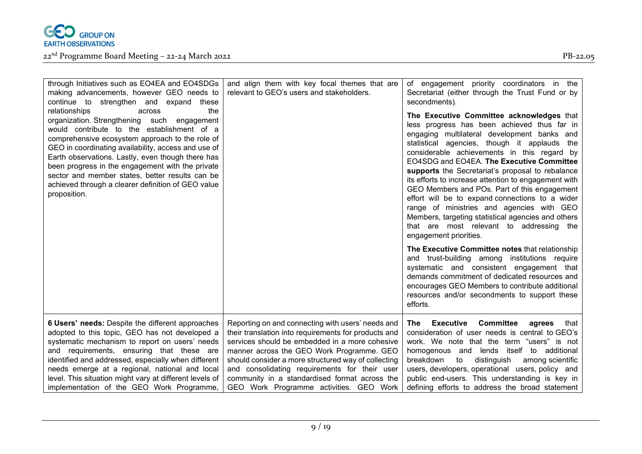

| through Initiatives such as EO4EA and EO4SDGs<br>making advancements, however GEO needs to<br>continue to strengthen and expand<br>these<br>relationships<br>the<br>across<br>organization. Strengthening such engagement<br>would contribute to the establishment of a<br>comprehensive ecosystem approach to the role of<br>GEO in coordinating availability, access and use of<br>Earth observations. Lastly, even though there has<br>been progress in the engagement with the private<br>sector and member states, better results can be<br>achieved through a clearer definition of GEO value<br>proposition. | and align them with key focal themes that are<br>relevant to GEO's users and stakeholders.                                                                                                                                                                                                                                                                                                                   | of engagement priority coordinators in the<br>Secretariat (either through the Trust Fund or by<br>secondments).<br>The Executive Committee acknowledges that<br>less progress has been achieved thus far in<br>engaging multilateral development banks and<br>statistical agencies, though it applauds the<br>considerable achievements in this regard by<br>EO4SDG and EO4EA. The Executive Committee<br>supports the Secretariat's proposal to rebalance<br>its efforts to increase attention to engagement with<br>GEO Members and POs. Part of this engagement<br>effort will be to expand connections to a wider<br>range of ministries and agencies with GEO<br>Members, targeting statistical agencies and others<br>that are most relevant to addressing the<br>engagement priorities.<br>The Executive Committee notes that relationship<br>and trust-building among institutions require<br>systematic and consistent engagement that<br>demands commitment of dedicated resources and |
|---------------------------------------------------------------------------------------------------------------------------------------------------------------------------------------------------------------------------------------------------------------------------------------------------------------------------------------------------------------------------------------------------------------------------------------------------------------------------------------------------------------------------------------------------------------------------------------------------------------------|--------------------------------------------------------------------------------------------------------------------------------------------------------------------------------------------------------------------------------------------------------------------------------------------------------------------------------------------------------------------------------------------------------------|--------------------------------------------------------------------------------------------------------------------------------------------------------------------------------------------------------------------------------------------------------------------------------------------------------------------------------------------------------------------------------------------------------------------------------------------------------------------------------------------------------------------------------------------------------------------------------------------------------------------------------------------------------------------------------------------------------------------------------------------------------------------------------------------------------------------------------------------------------------------------------------------------------------------------------------------------------------------------------------------------|
|                                                                                                                                                                                                                                                                                                                                                                                                                                                                                                                                                                                                                     |                                                                                                                                                                                                                                                                                                                                                                                                              | encourages GEO Members to contribute additional<br>resources and/or secondments to support these<br>efforts.                                                                                                                                                                                                                                                                                                                                                                                                                                                                                                                                                                                                                                                                                                                                                                                                                                                                                     |
| 6 Users' needs: Despite the different approaches<br>adopted to this topic, GEO has not developed a<br>systematic mechanism to report on users' needs<br>and requirements, ensuring that these are<br>identified and addressed, especially when different<br>needs emerge at a regional, national and local<br>level. This situation might vary at different levels of<br>implementation of the GEO Work Programme,                                                                                                                                                                                                  | Reporting on and connecting with users' needs and<br>their translation into requirements for products and<br>services should be embedded in a more cohesive<br>manner across the GEO Work Programme. GEO<br>should consider a more structured way of collecting<br>and consolidating requirements for their user<br>community in a standardised format across the<br>GEO Work Programme activities. GEO Work | <b>Committee</b><br><b>Executive</b><br>The<br>agrees<br>that<br>consideration of user needs is central to GEO's<br>work. We note that the term "users" is not<br>homogenous and lends itself to additional<br>breakdown<br>distinguish<br>to<br>among scientific<br>users, developers, operational users, policy and<br>public end-users. This understanding is key in<br>defining efforts to address the broad statement                                                                                                                                                                                                                                                                                                                                                                                                                                                                                                                                                                       |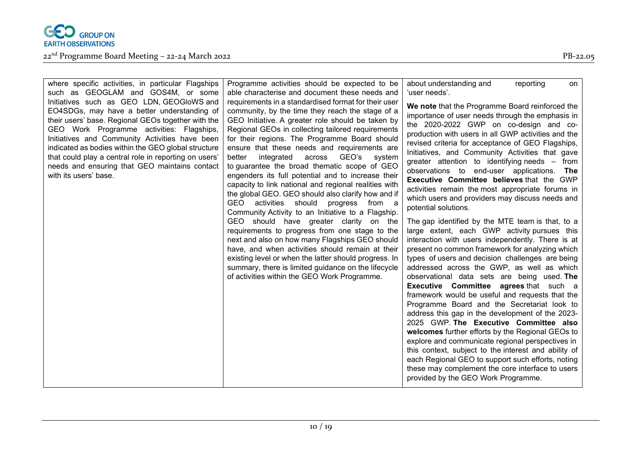

| where specific activities, in particular Flagships                                                                                                                                                                                                                                                                                                                                                                                                                            | Programme activities should be expected to be                                                                                                                                                                                                                                                                                                                                                                                                                                                                                                                                                                                                                                                                                                                                                                                                                                                                                                                                                                                                                                                                    | about understanding and<br>reporting                                                                                                                                                                                                                                                                                                                                                                                                                                                                                                                                                                                                                                                                                                                                                                                                                                                                                                                                                                                                                                                                                                                                                                                                                                                                                                                                                                                                                                                     |
|-------------------------------------------------------------------------------------------------------------------------------------------------------------------------------------------------------------------------------------------------------------------------------------------------------------------------------------------------------------------------------------------------------------------------------------------------------------------------------|------------------------------------------------------------------------------------------------------------------------------------------------------------------------------------------------------------------------------------------------------------------------------------------------------------------------------------------------------------------------------------------------------------------------------------------------------------------------------------------------------------------------------------------------------------------------------------------------------------------------------------------------------------------------------------------------------------------------------------------------------------------------------------------------------------------------------------------------------------------------------------------------------------------------------------------------------------------------------------------------------------------------------------------------------------------------------------------------------------------|------------------------------------------------------------------------------------------------------------------------------------------------------------------------------------------------------------------------------------------------------------------------------------------------------------------------------------------------------------------------------------------------------------------------------------------------------------------------------------------------------------------------------------------------------------------------------------------------------------------------------------------------------------------------------------------------------------------------------------------------------------------------------------------------------------------------------------------------------------------------------------------------------------------------------------------------------------------------------------------------------------------------------------------------------------------------------------------------------------------------------------------------------------------------------------------------------------------------------------------------------------------------------------------------------------------------------------------------------------------------------------------------------------------------------------------------------------------------------------------|
|                                                                                                                                                                                                                                                                                                                                                                                                                                                                               |                                                                                                                                                                                                                                                                                                                                                                                                                                                                                                                                                                                                                                                                                                                                                                                                                                                                                                                                                                                                                                                                                                                  | on                                                                                                                                                                                                                                                                                                                                                                                                                                                                                                                                                                                                                                                                                                                                                                                                                                                                                                                                                                                                                                                                                                                                                                                                                                                                                                                                                                                                                                                                                       |
|                                                                                                                                                                                                                                                                                                                                                                                                                                                                               |                                                                                                                                                                                                                                                                                                                                                                                                                                                                                                                                                                                                                                                                                                                                                                                                                                                                                                                                                                                                                                                                                                                  |                                                                                                                                                                                                                                                                                                                                                                                                                                                                                                                                                                                                                                                                                                                                                                                                                                                                                                                                                                                                                                                                                                                                                                                                                                                                                                                                                                                                                                                                                          |
| such as GEOGLAM and GOS4M, or some<br>Initiatives such as GEO LDN, GEOGloWS and<br>EO4SDGs, may have a better understanding of<br>their users' base. Regional GEOs together with the<br>GEO Work Programme activities: Flagships,<br>Initiatives and Community Activities have been<br>indicated as bodies within the GEO global structure<br>that could play a central role in reporting on users'<br>needs and ensuring that GEO maintains contact<br>with its users' base. | able characterise and document these needs and<br>requirements in a standardised format for their user<br>community, by the time they reach the stage of a<br>GEO Initiative. A greater role should be taken by<br>Regional GEOs in collecting tailored requirements<br>for their regions. The Programme Board should<br>ensure that these needs and requirements are<br>GEO's<br>integrated<br>across<br>system<br>better<br>to guarantee the broad thematic scope of GEO<br>engenders its full potential and to increase their<br>capacity to link national and regional realities with<br>the global GEO. GEO should also clarify how and if<br>GEO activities should progress from a<br>Community Activity to an Initiative to a Flagship.<br>GEO should have greater clarity on the<br>requirements to progress from one stage to the<br>next and also on how many Flagships GEO should<br>have, and when activities should remain at their<br>existing level or when the latter should progress. In<br>summary, there is limited guidance on the lifecycle<br>of activities within the GEO Work Programme. | 'user needs'.<br>We note that the Programme Board reinforced the<br>importance of user needs through the emphasis in<br>the 2020-2022 GWP on co-design and co-<br>production with users in all GWP activities and the<br>revised criteria for acceptance of GEO Flagships,<br>Initiatives, and Community Activities that gave<br>greater attention to identifying needs – from<br>observations to end-user applications. The<br>Executive Committee believes that the GWP<br>activities remain the most appropriate forums in<br>which users and providers may discuss needs and<br>potential solutions.<br>The gap identified by the MTE team is that, to a<br>large extent, each GWP activity pursues this<br>interaction with users independently. There is at<br>present no common framework for analyzing which<br>types of users and decision challenges are being<br>addressed across the GWP, as well as which<br>observational data sets are being used. The<br>Executive Committee agrees that such a<br>framework would be useful and requests that the<br>Programme Board and the Secretariat look to<br>address this gap in the development of the 2023-<br>2025 GWP. The Executive Committee also<br>welcomes further efforts by the Regional GEOs to<br>explore and communicate regional perspectives in<br>this context, subject to the interest and ability of<br>each Regional GEO to support such efforts, noting<br>these may complement the core interface to users |
|                                                                                                                                                                                                                                                                                                                                                                                                                                                                               |                                                                                                                                                                                                                                                                                                                                                                                                                                                                                                                                                                                                                                                                                                                                                                                                                                                                                                                                                                                                                                                                                                                  | provided by the GEO Work Programme.                                                                                                                                                                                                                                                                                                                                                                                                                                                                                                                                                                                                                                                                                                                                                                                                                                                                                                                                                                                                                                                                                                                                                                                                                                                                                                                                                                                                                                                      |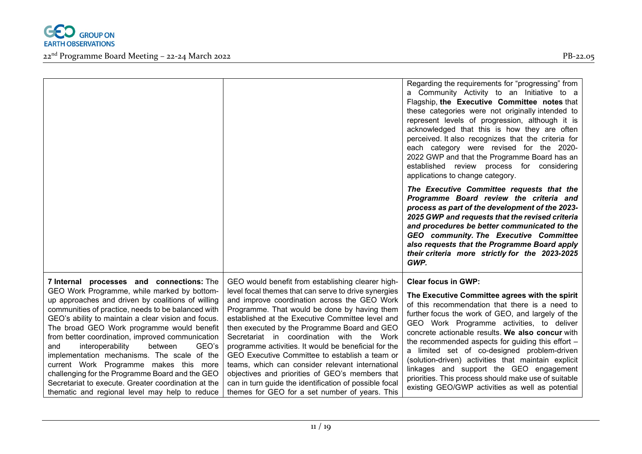

|                                                                                                                                                                                                                                                                                                                                                                                                                                                                                                                                                                                                                                                                  |                                                                                                                                                                                                                                                                                                                                                                                                                                                                                                                                                                                                                                                                                         | Regarding the requirements for "progressing" from<br>a Community Activity to an Initiative to a<br>Flagship, the Executive Committee notes that<br>these categories were not originally intended to<br>represent levels of progression, although it is<br>acknowledged that this is how they are often<br>perceived. It also recognizes that the criteria for<br>each category were revised for the 2020-<br>2022 GWP and that the Programme Board has an<br>established review process for considering<br>applications to change category.                                                            |
|------------------------------------------------------------------------------------------------------------------------------------------------------------------------------------------------------------------------------------------------------------------------------------------------------------------------------------------------------------------------------------------------------------------------------------------------------------------------------------------------------------------------------------------------------------------------------------------------------------------------------------------------------------------|-----------------------------------------------------------------------------------------------------------------------------------------------------------------------------------------------------------------------------------------------------------------------------------------------------------------------------------------------------------------------------------------------------------------------------------------------------------------------------------------------------------------------------------------------------------------------------------------------------------------------------------------------------------------------------------------|--------------------------------------------------------------------------------------------------------------------------------------------------------------------------------------------------------------------------------------------------------------------------------------------------------------------------------------------------------------------------------------------------------------------------------------------------------------------------------------------------------------------------------------------------------------------------------------------------------|
|                                                                                                                                                                                                                                                                                                                                                                                                                                                                                                                                                                                                                                                                  |                                                                                                                                                                                                                                                                                                                                                                                                                                                                                                                                                                                                                                                                                         | The Executive Committee requests that the<br>Programme Board review the criteria and<br>process as part of the development of the 2023-<br>2025 GWP and requests that the revised criteria<br>and procedures be better communicated to the<br>GEO community. The Executive Committee<br>also requests that the Programme Board apply<br>their criteria more strictly for the 2023-2025<br>GWP.                                                                                                                                                                                                         |
| 7 Internal processes and connections: The<br>GEO Work Programme, while marked by bottom-<br>up approaches and driven by coalitions of willing<br>communities of practice, needs to be balanced with<br>GEO's ability to maintain a clear vision and focus.<br>The broad GEO Work programme would benefit<br>from better coordination, improved communication<br>GEO's<br>and<br>interoperability<br>between<br>implementation mechanisms. The scale of the<br>current Work Programme makes this more<br>challenging for the Programme Board and the GEO<br>Secretariat to execute. Greater coordination at the<br>thematic and regional level may help to reduce | GEO would benefit from establishing clearer high-<br>level focal themes that can serve to drive synergies<br>and improve coordination across the GEO Work<br>Programme. That would be done by having them<br>established at the Executive Committee level and<br>then executed by the Programme Board and GEO<br>Secretariat in coordination with the Work<br>programme activities. It would be beneficial for the<br>GEO Executive Committee to establish a team or<br>teams, which can consider relevant international<br>objectives and priorities of GEO's members that<br>can in turn guide the identification of possible focal<br>themes for GEO for a set number of years. This | <b>Clear focus in GWP:</b><br>The Executive Committee agrees with the spirit<br>of this recommendation that there is a need to<br>further focus the work of GEO, and largely of the<br>GEO Work Programme activities, to deliver<br>concrete actionable results. We also concur with<br>the recommended aspects for guiding this effort -<br>a limited set of co-designed problem-driven<br>(solution-driven) activities that maintain explicit<br>linkages and support the GEO engagement<br>priorities. This process should make use of suitable<br>existing GEO/GWP activities as well as potential |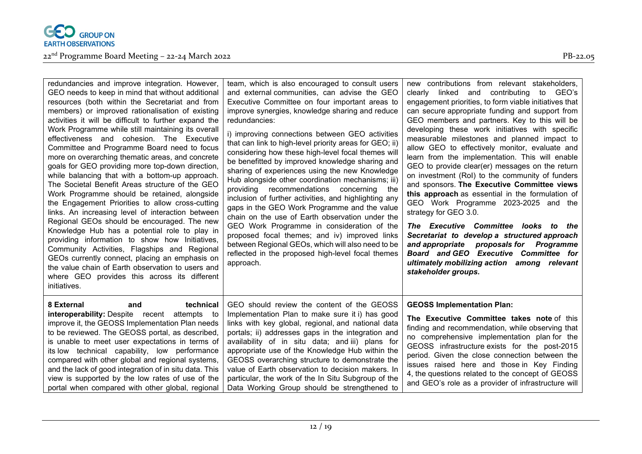

| redundancies and improve integration. However,<br>GEO needs to keep in mind that without additional<br>resources (both within the Secretariat and from<br>members) or improved rationalisation of existing<br>activities it will be difficult to further expand the<br>Work Programme while still maintaining its overall<br>effectiveness and cohesion. The Executive<br>Committee and Programme Board need to focus<br>more on overarching thematic areas, and concrete<br>goals for GEO providing more top-down direction,<br>while balancing that with a bottom-up approach.<br>The Societal Benefit Areas structure of the GEO<br>Work Programme should be retained, alongside<br>the Engagement Priorities to allow cross-cutting<br>links. An increasing level of interaction between<br>Regional GEOs should be encouraged. The new<br>Knowledge Hub has a potential role to play in<br>providing information to show how Initiatives,<br>Community Activities, Flagships and Regional<br>GEOs currently connect, placing an emphasis on<br>the value chain of Earth observation to users and<br>where GEO provides this across its different<br>initiatives. | team, which is also encouraged to consult users<br>and external communities, can advise the GEO<br>Executive Committee on four important areas to<br>improve synergies, knowledge sharing and reduce<br>redundancies:<br>i) improving connections between GEO activities<br>that can link to high-level priority areas for GEO; ii)<br>considering how these high-level focal themes will<br>be benefitted by improved knowledge sharing and<br>sharing of experiences using the new Knowledge<br>Hub alongside other coordination mechanisms; iii)<br>providing recommendations<br>concerning<br>the<br>inclusion of further activities, and highlighting any<br>gaps in the GEO Work Programme and the value<br>chain on the use of Earth observation under the<br>GEO Work Programme in consideration of the<br>proposed focal themes; and iv) improved links<br>between Regional GEOs, which will also need to be<br>reflected in the proposed high-level focal themes<br>approach. | new contributions from relevant stakeholders,<br>clearly linked and contributing to GEO's<br>engagement priorities, to form viable initiatives that<br>can secure appropriate funding and support from<br>GEO members and partners. Key to this will be<br>developing these work initiatives with specific<br>measurable milestones and planned impact to<br>allow GEO to effectively monitor, evaluate and<br>learn from the implementation. This will enable<br>GEO to provide clear(er) messages on the return<br>on investment (RoI) to the community of funders<br>and sponsors. The Executive Committee views<br>this approach as essential in the formulation of<br>GEO Work Programme 2023-2025 and the<br>strategy for GEO 3.0.<br>The Executive Committee looks to the<br>Secretariat to develop a structured approach<br>and appropriate proposals for Programme<br><b>Board and GEO Executive Committee for</b><br>ultimately mobilizing action among relevant<br>stakeholder groups. |
|-----------------------------------------------------------------------------------------------------------------------------------------------------------------------------------------------------------------------------------------------------------------------------------------------------------------------------------------------------------------------------------------------------------------------------------------------------------------------------------------------------------------------------------------------------------------------------------------------------------------------------------------------------------------------------------------------------------------------------------------------------------------------------------------------------------------------------------------------------------------------------------------------------------------------------------------------------------------------------------------------------------------------------------------------------------------------------------------------------------------------------------------------------------------------|-----------------------------------------------------------------------------------------------------------------------------------------------------------------------------------------------------------------------------------------------------------------------------------------------------------------------------------------------------------------------------------------------------------------------------------------------------------------------------------------------------------------------------------------------------------------------------------------------------------------------------------------------------------------------------------------------------------------------------------------------------------------------------------------------------------------------------------------------------------------------------------------------------------------------------------------------------------------------------------------|---------------------------------------------------------------------------------------------------------------------------------------------------------------------------------------------------------------------------------------------------------------------------------------------------------------------------------------------------------------------------------------------------------------------------------------------------------------------------------------------------------------------------------------------------------------------------------------------------------------------------------------------------------------------------------------------------------------------------------------------------------------------------------------------------------------------------------------------------------------------------------------------------------------------------------------------------------------------------------------------------|
| technical<br>8 External<br>and<br><b>interoperability:</b> Despite recent<br>attempts to<br>improve it, the GEOSS Implementation Plan needs<br>to be reviewed. The GEOSS portal, as described,<br>is unable to meet user expectations in terms of<br>its low technical capability, low performance<br>compared with other global and regional systems,<br>and the lack of good integration of in situ data. This<br>view is supported by the low rates of use of the<br>portal when compared with other global, regional                                                                                                                                                                                                                                                                                                                                                                                                                                                                                                                                                                                                                                              | GEO should review the content of the GEOSS<br>Implementation Plan to make sure it i) has good<br>links with key global, regional, and national data<br>portals; ii) addresses gaps in the integration and<br>availability of in situ data; and iii) plans for<br>appropriate use of the Knowledge Hub within the<br>GEOSS overarching structure to demonstrate the<br>value of Earth observation to decision makers. In<br>particular, the work of the In Situ Subgroup of the<br>Data Working Group should be strengthened to                                                                                                                                                                                                                                                                                                                                                                                                                                                          | <b>GEOSS Implementation Plan:</b><br>The Executive Committee takes note of this<br>finding and recommendation, while observing that<br>no comprehensive implementation plan for the<br>GEOSS infrastructure exists for the post-2015<br>period. Given the close connection between the<br>issues raised here and those in Key Finding<br>4, the questions related to the concept of GEOSS<br>and GEO's role as a provider of infrastructure will                                                                                                                                                                                                                                                                                                                                                                                                                                                                                                                                                  |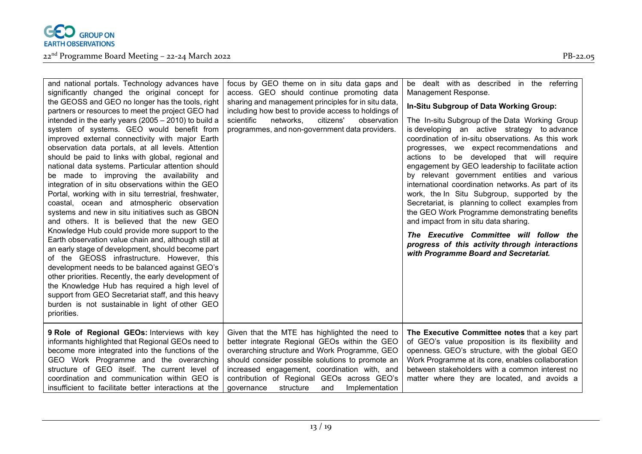

| and national portals. Technology advances have<br>significantly changed the original concept for<br>the GEOSS and GEO no longer has the tools, right<br>partners or resources to meet the project GEO had<br>intended in the early years $(2005 - 2010)$ to build a<br>system of systems. GEO would benefit from<br>improved external connectivity with major Earth<br>observation data portals, at all levels. Attention<br>should be paid to links with global, regional and<br>national data systems. Particular attention should<br>be made to improving the availability and<br>integration of in situ observations within the GEO<br>Portal, working with in situ terrestrial, freshwater,<br>coastal, ocean and atmospheric observation<br>systems and new in situ initiatives such as GBON<br>and others. It is believed that the new GEO<br>Knowledge Hub could provide more support to the<br>Earth observation value chain and, although still at<br>an early stage of development, should become part<br>of the GEOSS infrastructure. However, this<br>development needs to be balanced against GEO's<br>other priorities. Recently, the early development of<br>the Knowledge Hub has required a high level of<br>support from GEO Secretariat staff, and this heavy<br>burden is not sustainable in light of other GEO<br>priorities. | focus by GEO theme on in situ data gaps and<br>access. GEO should continue promoting data<br>sharing and management principles for in situ data,<br>including how best to provide access to holdings of<br>scientific<br>networks,<br>citizens'<br>observation<br>programmes, and non-government data providers.                                       | be dealt with as described in the referring<br>Management Response.<br>In-Situ Subgroup of Data Working Group:<br>The In-situ Subgroup of the Data Working Group<br>is developing an active strategy to advance<br>coordination of in-situ observations. As this work<br>progresses, we expect recommendations and<br>actions to be developed that will require<br>engagement by GEO leadership to facilitate action<br>by relevant government entities and various<br>international coordination networks. As part of its<br>work, the In Situ Subgroup, supported by the<br>Secretariat, is planning to collect examples from<br>the GEO Work Programme demonstrating benefits<br>and impact from in situ data sharing.<br>The Executive Committee will follow the<br>progress of this activity through interactions<br>with Programme Board and Secretariat. |
|-----------------------------------------------------------------------------------------------------------------------------------------------------------------------------------------------------------------------------------------------------------------------------------------------------------------------------------------------------------------------------------------------------------------------------------------------------------------------------------------------------------------------------------------------------------------------------------------------------------------------------------------------------------------------------------------------------------------------------------------------------------------------------------------------------------------------------------------------------------------------------------------------------------------------------------------------------------------------------------------------------------------------------------------------------------------------------------------------------------------------------------------------------------------------------------------------------------------------------------------------------------------------------------------------------------------------------------------------------|--------------------------------------------------------------------------------------------------------------------------------------------------------------------------------------------------------------------------------------------------------------------------------------------------------------------------------------------------------|-----------------------------------------------------------------------------------------------------------------------------------------------------------------------------------------------------------------------------------------------------------------------------------------------------------------------------------------------------------------------------------------------------------------------------------------------------------------------------------------------------------------------------------------------------------------------------------------------------------------------------------------------------------------------------------------------------------------------------------------------------------------------------------------------------------------------------------------------------------------|
| 9 Role of Regional GEOs: Interviews with key<br>informants highlighted that Regional GEOs need to<br>become more integrated into the functions of the<br>GEO Work Programme and the overarching<br>structure of GEO itself. The current level of<br>coordination and communication within GEO is<br>insufficient to facilitate better interactions at the                                                                                                                                                                                                                                                                                                                                                                                                                                                                                                                                                                                                                                                                                                                                                                                                                                                                                                                                                                                           | Given that the MTE has highlighted the need to<br>better integrate Regional GEOs within the GEO<br>overarching structure and Work Programme, GEO<br>should consider possible solutions to promote an<br>increased engagement, coordination with, and<br>contribution of Regional GEOs across GEO's<br>structure<br>Implementation<br>governance<br>and | The Executive Committee notes that a key part<br>of GEO's value proposition is its flexibility and<br>openness. GEO's structure, with the global GEO<br>Work Programme at its core, enables collaboration<br>between stakeholders with a common interest no<br>matter where they are located, and avoids a                                                                                                                                                                                                                                                                                                                                                                                                                                                                                                                                                      |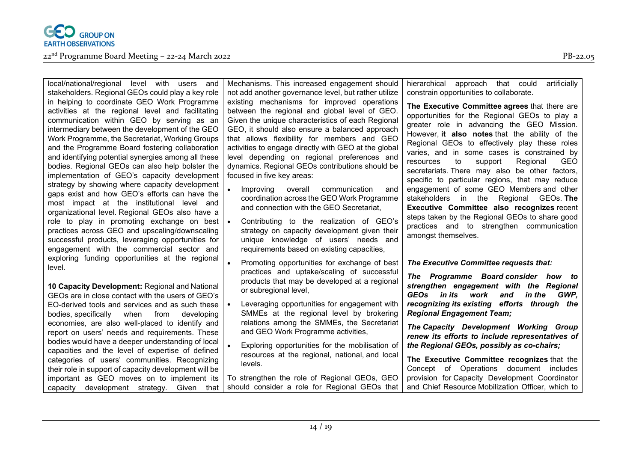

#### $22<sup>nd</sup>$  Programme Board Meeting – 22-24 March 2022 PB-22.05

local/national/regional level with users and stakeholders. Regional GEOs could play a key role in helping to coordinate GEO Work Programme activities at the regional level and facilitating communication within GEO by serving as an intermediary between the development of the GEO Work Programme, the Secretariat, Working Groups and the Programme Board fostering collaboration and identifying potential synergies among all these bodies. Regional GEOs can also help bolster the implementation of GEO's capacity development strategy by showing where capacity development gaps exist and how GEO's efforts can have the most impact at the institutional level and organizational level. Regional GEOs also have a role to play in promoting exchange on best  $\cdot$ practices across GEO and upscaling/downscaling successful products, leveraging opportunities for engagement with the commercial sector and exploring funding opportunities at the regional level.

**10 Capacity Development:** Regional and National GEOs are in close contact with the users of GEO's EO-derived tools and services and as such these bodies, specifically when from developing economies, are also well-placed to identify and report on users' needs and requirements. These bodies would have a deeper understanding of local capacities and the level of expertise of defined categories of users' communities. Recognizing their role in support of capacity development will be important as GEO moves on to implement its capacity development strategy. Given that

Mechanisms. This increased engagement should not add another governance level, but rather utilize existing mechanisms for improved operations between the regional and global level of GEO. Given the unique characteristics of each Regional GEO, it should also ensure a balanced approach that allows flexibility for members and GEO activities to engage directly with GEO at the global level depending on regional preferences and dynamics. Regional GEOs contributions should be focused in five key areas:

- Improving overall communication and coordination across the GEO Work Programme and connection with the GEO Secretariat,
- Contributing to the realization of GEO's strategy on capacity development given their unique knowledge of users' needs and requirements based on existing capacities,
- Promoting opportunities for exchange of best practices and uptake/scaling of successful products that may be developed at a regional or subregional level,
- Leveraging opportunities for engagement with SMMEs at the regional level by brokering relations among the SMMEs, the Secretariat and GEO Work Programme activities,
- Exploring opportunities for the mobilisation of resources at the regional, national, and local levels.

To strengthen the role of Regional GEOs, GEO should consider a role for Regional GEOs that

hierarchical approach that could artificially constrain opportunities to collaborate.

**The Executive Committee agrees** that there are opportunities for the Regional GEOs to play a greater role in advancing the GEO Mission. However, **it also notes** that the ability of the Regional GEOs to effectively play these roles varies, and in some cases is constrained by resources to support Regional GEO secretariats. There may also be other factors, specific to particular regions, that may reduce engagement of some GEO Members and other stakeholders in the Regional GEOs. **The Executive Committee also recognizes** recent steps taken by the Regional GEOs to share good practices and to strengthen communication amongst themselves.

#### *The Executive Committee requests that:*

*The Programme Board consider how to strengthen engagement with the Regional GEOs in its work and in the GWP, recognizing its existing efforts through the Regional Engagement Team;*

*The Capacity Development Working Group renew its efforts to include representatives of the Regional GEOs, possibly as co-chairs;*

**The Executive Committee recognizes** that the Concept of Operations document includes provision for Capacity Development Coordinator and Chief Resource Mobilization Officer, which to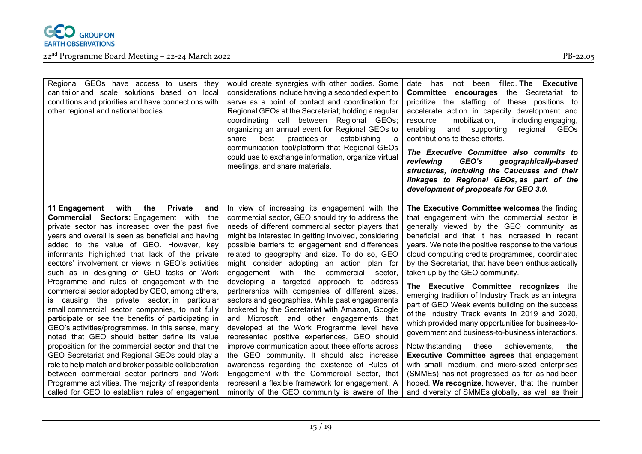

| Regional GEOs have access to users they<br>can tailor and scale solutions based on local<br>conditions and priorities and have connections with<br>other regional and national bodies.                                                                                                                                                                                                                                                                                                                                                                                                                                                                                                                                                                                                                                                                                                                                                           | would create synergies with other bodies. Some<br>considerations include having a seconded expert to<br>serve as a point of contact and coordination for<br>Regional GEOs at the Secretariat; holding a regular<br>coordinating call between Regional GEOs;<br>organizing an annual event for Regional GEOs to<br>practices or<br>establishing<br>share<br>best<br>a<br>communication tool/platform that Regional GEOs<br>could use to exchange information, organize virtual<br>meetings, and share materials.                                                                                                                                                                                                                                                                                                                                                                                                     | filled. The Executive<br>has<br>been<br>date<br>not<br><b>Committee</b><br>the Secretariat to<br>encourages<br>prioritize the staffing of these positions<br>to<br>accelerate action in capacity development and<br>mobilization,<br>including engaging,<br>resource<br>enabling<br>and<br>supporting<br>GEOs<br>regional<br>contributions to these efforts.<br>The Executive Committee also commits to<br>GEO's<br>geographically-based<br>reviewing<br>structures, including the Caucuses and their<br>linkages to Regional GEOs, as part of the<br>development of proposals for GEO 3.0.                                                                                                                                                                                                                                                                                 |
|--------------------------------------------------------------------------------------------------------------------------------------------------------------------------------------------------------------------------------------------------------------------------------------------------------------------------------------------------------------------------------------------------------------------------------------------------------------------------------------------------------------------------------------------------------------------------------------------------------------------------------------------------------------------------------------------------------------------------------------------------------------------------------------------------------------------------------------------------------------------------------------------------------------------------------------------------|---------------------------------------------------------------------------------------------------------------------------------------------------------------------------------------------------------------------------------------------------------------------------------------------------------------------------------------------------------------------------------------------------------------------------------------------------------------------------------------------------------------------------------------------------------------------------------------------------------------------------------------------------------------------------------------------------------------------------------------------------------------------------------------------------------------------------------------------------------------------------------------------------------------------|-----------------------------------------------------------------------------------------------------------------------------------------------------------------------------------------------------------------------------------------------------------------------------------------------------------------------------------------------------------------------------------------------------------------------------------------------------------------------------------------------------------------------------------------------------------------------------------------------------------------------------------------------------------------------------------------------------------------------------------------------------------------------------------------------------------------------------------------------------------------------------|
| <b>Private</b><br>11 Engagement<br>with<br>the<br>and<br><b>Commercial Sectors:</b> Engagement with the<br>private sector has increased over the past five<br>years and overall is seen as beneficial and having<br>added to the value of GEO. However, key<br>informants highlighted that lack of the private<br>sectors' involvement or views in GEO's activities<br>such as in designing of GEO tasks or Work<br>Programme and rules of engagement with the<br>commercial sector adopted by GEO, among others,<br>is causing the private sector, in particular<br>small commercial sector companies, to not fully<br>participate or see the benefits of participating in<br>GEO's activities/programmes. In this sense, many<br>noted that GEO should better define its value<br>proposition for the commercial sector and that the<br>GEO Secretariat and Regional GEOs could play a<br>role to help match and broker possible collaboration | In view of increasing its engagement with the<br>commercial sector, GEO should try to address the<br>needs of different commercial sector players that<br>might be interested in getting involved, considering<br>possible barriers to engagement and differences<br>related to geography and size. To do so, GEO<br>might consider adopting an action plan for<br>with the commercial<br>engagement<br>sector.<br>developing a targeted approach to address<br>partnerships with companies of different sizes,<br>sectors and geographies. While past engagements<br>brokered by the Secretariat with Amazon, Google<br>and Microsoft, and other engagements that<br>developed at the Work Programme level have<br>represented positive experiences, GEO should<br>improve communication about these efforts across<br>the GEO community. It should also increase<br>awareness regarding the existence of Rules of | The Executive Committee welcomes the finding<br>that engagement with the commercial sector is<br>generally viewed by the GEO community as<br>beneficial and that it has increased in recent<br>years. We note the positive response to the various<br>cloud computing credits programmes, coordinated<br>by the Secretariat, that have been enthusiastically<br>taken up by the GEO community.<br>The Executive Committee recognizes the<br>emerging tradition of Industry Track as an integral<br>part of GEO Week events building on the success<br>of the Industry Track events in 2019 and 2020,<br>which provided many opportunities for business-to-<br>government and business-to-business interactions.<br>Notwithstanding<br>these<br>achievements,<br>the<br><b>Executive Committee agrees that engagement</b><br>with small, medium, and micro-sized enterprises |
| between commercial sector partners and Work<br>Programme activities. The majority of respondents<br>called for GEO to establish rules of engagement                                                                                                                                                                                                                                                                                                                                                                                                                                                                                                                                                                                                                                                                                                                                                                                              | Engagement with the Commercial Sector, that<br>represent a flexible framework for engagement. A<br>minority of the GEO community is aware of the                                                                                                                                                                                                                                                                                                                                                                                                                                                                                                                                                                                                                                                                                                                                                                    | (SMMEs) has not progressed as far as had been<br>hoped. We recognize, however, that the number<br>and diversity of SMMEs globally, as well as their                                                                                                                                                                                                                                                                                                                                                                                                                                                                                                                                                                                                                                                                                                                         |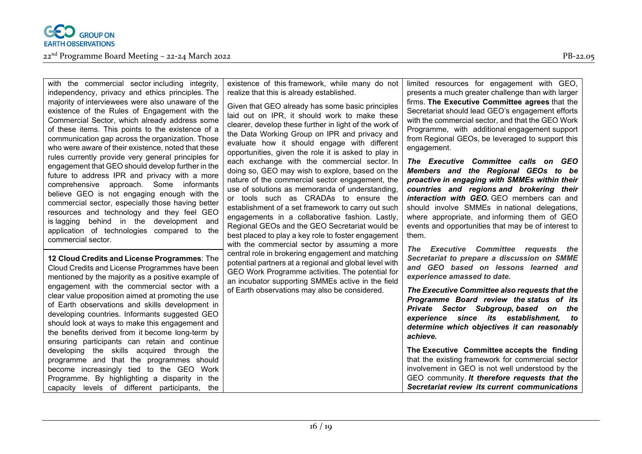

with the commercial sector including integrity, independency, privacy and ethics principles. The majority of interviewees were also unaware of the existence of the Rules of Engagement with the Commercial Sector, which already address some of these items. This points to the existence of a communication gap across the organization. Those who were aware of their existence, noted that these rules currently provide very general principles for engagement that GEO should develop further in the future to address IPR and privacy with a more comprehensive approach. Some informants believe GEO is not engaging enough with the commercial sector, especially those having better resources and technology and they feel GEO is lagging behind in the development and application of technologies compared to the commercial sector.

**12 Cloud Credits and License Programmes**: The Cloud Credits and License Programmes have been mentioned by the majority as a positive example of engagement with the commercial sector with a clear value proposition aimed at promoting the use of Earth observations and skills development in developing countries. Informants suggested GEO should look at ways to make this engagement and the benefits derived from it become long-term by ensuring participants can retain and continue developing the skills acquired through the programme and that the programmes should become increasingly tied to the GEO Work Programme. By highlighting a disparity in the capacity levels of different participants, the

existence of this framework, while many do not realize that this is already established.

Given that GEO already has some basic principles laid out on IPR, it should work to make these clearer, develop these further in light of the work of the Data Working Group on IPR and privacy and evaluate how it should engage with different opportunities, given the role it is asked to play in each exchange with the commercial sector. In doing so, GEO may wish to explore, based on the nature of the commercial sector engagement, the use of solutions as memoranda of understanding, or tools such as CRADAs to ensure the establishment of a set framework to carry out such engagements in a collaborative fashion. Lastly, Regional GEOs and the GEO Secretariat would be best placed to play a key role to foster engagement with the commercial sector by assuming a more central role in brokering engagement and matching potential partners at a regional and global level with GEO Work Programme activities. The potential for an incubator supporting SMMEs active in the field of Earth observations may also be considered.

limited resources for engagement with GEO, presents a much greater challenge than with larger firms. **The Executive Committee agrees** that the Secretariat should lead GEO's engagement efforts with the commercial sector, and that the GEO Work Programme, with additional engagement support from Regional GEOs, be leveraged to support this engagement.

*The Executive Committee calls on GEO Members and the Regional GEOs to be proactive in engaging with SMMEs within their countries and regions and brokering their interaction with GEO.* GEO members can and should involve SMMEs in national delegations, where appropriate, and informing them of GEO events and opportunities that may be of interest to them.

*The Executive Committee requests the Secretariat to prepare a discussion on SMME and GEO based on lessons learned and experience amassed to date.*

*The Executive Committee also requests that the Programme Board review the status of its Private Sector Subgroup, based on the experience since its establishment, to determine which objectives it can reasonably achieve.*

**The Executive Committee accepts the finding** that the existing framework for commercial sector involvement in GEO is not well understood by the GEO community. *It therefore requests that the Secretariat review its current communications*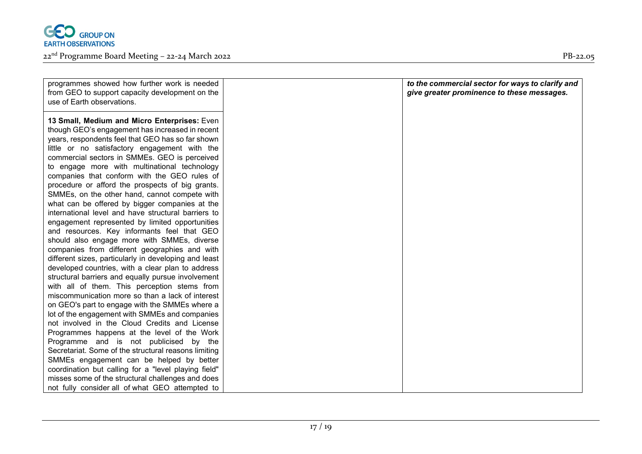

22nd Programme Board Meeting – 22-24 March 2022 PB-22.05

different sizes, particularly in developing and least developed countries, with a clear plan to address structural barriers and equally pursue involvement with all of them. This perception stems from miscommunication more so than a lack of interest on GEO's part to engage with the SMMEs where a lot of the engagement with SMMEs and companies not involved in the Cloud Credits and License Programmes happens at the level of the Work Programme and is not publicised by the Secretariat. Some of the structural reasons limiting SMMEs engagement can be helped by better coordination but calling for a "level playing field" misses some of the structural challenges and does not fully consider all of what GEO attempted to

| programmes showed how further work is needed<br>to the commercial sector for ways to clarify and<br>give greater prominence to these messages.<br>from GEO to support capacity development on the<br>use of Earth observations.<br>13 Small, Medium and Micro Enterprises: Even |  |
|---------------------------------------------------------------------------------------------------------------------------------------------------------------------------------------------------------------------------------------------------------------------------------|--|
|                                                                                                                                                                                                                                                                                 |  |
|                                                                                                                                                                                                                                                                                 |  |
|                                                                                                                                                                                                                                                                                 |  |
|                                                                                                                                                                                                                                                                                 |  |
|                                                                                                                                                                                                                                                                                 |  |
| though GEO's engagement has increased in recent                                                                                                                                                                                                                                 |  |
| years, respondents feel that GEO has so far shown                                                                                                                                                                                                                               |  |
| little or no satisfactory engagement with the                                                                                                                                                                                                                                   |  |
| commercial sectors in SMMEs. GEO is perceived                                                                                                                                                                                                                                   |  |
| to engage more with multinational technology                                                                                                                                                                                                                                    |  |
| companies that conform with the GEO rules of                                                                                                                                                                                                                                    |  |
| procedure or afford the prospects of big grants.                                                                                                                                                                                                                                |  |
| SMMEs, on the other hand, cannot compete with                                                                                                                                                                                                                                   |  |
| what can be offered by bigger companies at the                                                                                                                                                                                                                                  |  |
| international level and have structural barriers to                                                                                                                                                                                                                             |  |
| engagement represented by limited opportunities                                                                                                                                                                                                                                 |  |
| and resources. Key informants feel that GEO                                                                                                                                                                                                                                     |  |
| should also engage more with SMMEs, diverse                                                                                                                                                                                                                                     |  |
| companies from different geographies and with                                                                                                                                                                                                                                   |  |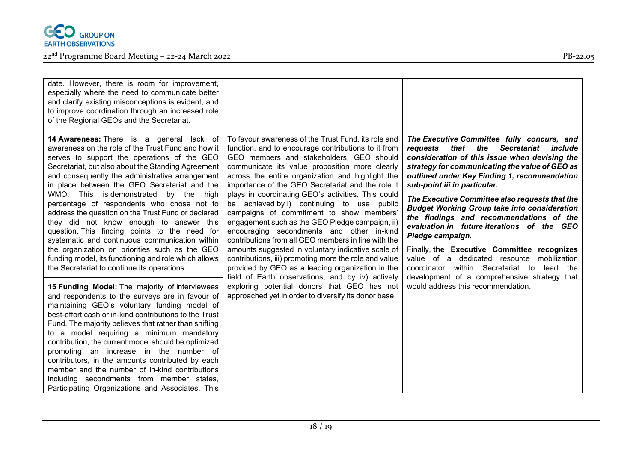

| date. However, there is room for improvement,<br>especially where the need to communicate better<br>and clarify existing misconceptions is evident, and<br>to improve coordination through an increased role<br>of the Regional GEOs and the Secretariat.                                                                                                                                                                                                                                                                                                                                                                |                                                                                                                                                                                                                                                                                                                                                                                                                                                                        |                                                                                                                                                                                                                                                                                                                                                                     |
|--------------------------------------------------------------------------------------------------------------------------------------------------------------------------------------------------------------------------------------------------------------------------------------------------------------------------------------------------------------------------------------------------------------------------------------------------------------------------------------------------------------------------------------------------------------------------------------------------------------------------|------------------------------------------------------------------------------------------------------------------------------------------------------------------------------------------------------------------------------------------------------------------------------------------------------------------------------------------------------------------------------------------------------------------------------------------------------------------------|---------------------------------------------------------------------------------------------------------------------------------------------------------------------------------------------------------------------------------------------------------------------------------------------------------------------------------------------------------------------|
| 14 Awareness: There is a general lack of<br>awareness on the role of the Trust Fund and how it<br>serves to support the operations of the GEO<br>Secretariat, but also about the Standing Agreement<br>and consequently the administrative arrangement<br>in place between the GEO Secretariat and the                                                                                                                                                                                                                                                                                                                   | To favour awareness of the Trust Fund, its role and<br>function, and to encourage contributions to it from<br>GEO members and stakeholders, GEO should<br>communicate its value proposition more clearly<br>across the entire organization and highlight the<br>importance of the GEO Secretariat and the role it                                                                                                                                                      | The Executive Committee fully concurs, and<br>the<br><b>Secretariat</b><br>requests that<br>include<br>consideration of this issue when devising the<br>strategy for communicating the value of GEO as<br>outlined under Key Finding 1, recommendation<br>sub-point iii in particular.                                                                              |
| WMO. This is demonstrated by the<br>high<br>percentage of respondents who chose not to<br>address the question on the Trust Fund or declared<br>they did not know enough to answer this<br>question. This finding points to the need for<br>systematic and continuous communication within<br>the organization on priorities such as the GEO<br>funding model, its functioning and role which allows<br>the Secretariat to continue its operations.                                                                                                                                                                      | plays in coordinating GEO's activities. This could<br>be achieved by i) continuing to use public<br>campaigns of commitment to show members'<br>engagement such as the GEO Pledge campaign, ii)<br>encouraging secondments and other in-kind<br>contributions from all GEO members in line with the<br>amounts suggested in voluntary indicative scale of<br>contributions, iii) promoting more the role and value<br>provided by GEO as a leading organization in the | The Executive Committee also requests that the<br><b>Budget Working Group take into consideration</b><br>the findings and recommendations of the<br>evaluation in future iterations of the GEO<br>Pledge campaign.<br>Finally, the Executive Committee recognizes<br>value of a dedicated resource<br>mobilization<br>coordinator within Secretariat to<br>lead the |
| 15 Funding Model: The majority of interviewees<br>and respondents to the surveys are in favour of<br>maintaining GEO's voluntary funding model of<br>best-effort cash or in-kind contributions to the Trust<br>Fund. The majority believes that rather than shifting<br>to a model requiring a minimum mandatory<br>contribution, the current model should be optimized<br>promoting an increase in the number of<br>contributors, in the amounts contributed by each<br>member and the number of in-kind contributions<br>including secondments from member states,<br>Participating Organizations and Associates. This | field of Earth observations, and by iv) actively<br>exploring potential donors that GEO has not<br>approached yet in order to diversify its donor base.                                                                                                                                                                                                                                                                                                                | development of a comprehensive strategy that<br>would address this recommendation.                                                                                                                                                                                                                                                                                  |